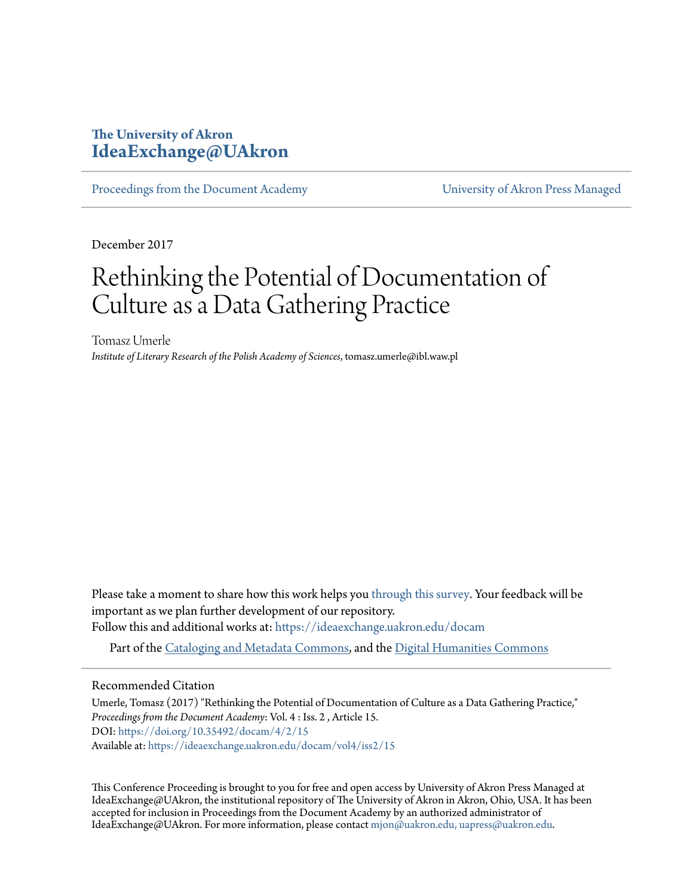# **The University of Akron [IdeaExchange@UAkron](https://ideaexchange.uakron.edu?utm_source=ideaexchange.uakron.edu%2Fdocam%2Fvol4%2Fiss2%2F15&utm_medium=PDF&utm_campaign=PDFCoverPages)**

[Proceedings from the Document Academy](https://ideaexchange.uakron.edu/docam?utm_source=ideaexchange.uakron.edu%2Fdocam%2Fvol4%2Fiss2%2F15&utm_medium=PDF&utm_campaign=PDFCoverPages) [University of Akron Press Managed](https://ideaexchange.uakron.edu/uapress_journals?utm_source=ideaexchange.uakron.edu%2Fdocam%2Fvol4%2Fiss2%2F15&utm_medium=PDF&utm_campaign=PDFCoverPages)

December 2017

# Rethinking the Potential of Documentation of Culture as a Data Gathering Practice

Tomasz Umerle *Institute of Literary Research of the Polish Academy of Sciences*, tomasz.umerle@ibl.waw.pl

Please take a moment to share how this work helps you [through this survey.](http://survey.az1.qualtrics.com/SE/?SID=SV_eEVH54oiCbOw05f&URL=https://ideaexchange.uakron.edu/docam/vol4/iss2/15) Your feedback will be important as we plan further development of our repository.

Follow this and additional works at: [https://ideaexchange.uakron.edu/docam](https://ideaexchange.uakron.edu/docam?utm_source=ideaexchange.uakron.edu%2Fdocam%2Fvol4%2Fiss2%2F15&utm_medium=PDF&utm_campaign=PDFCoverPages)

Part of the [Cataloging and Metadata Commons](http://network.bepress.com/hgg/discipline/1270?utm_source=ideaexchange.uakron.edu%2Fdocam%2Fvol4%2Fiss2%2F15&utm_medium=PDF&utm_campaign=PDFCoverPages), and the [Digital Humanities Commons](http://network.bepress.com/hgg/discipline/1286?utm_source=ideaexchange.uakron.edu%2Fdocam%2Fvol4%2Fiss2%2F15&utm_medium=PDF&utm_campaign=PDFCoverPages)

#### Recommended Citation

Umerle, Tomasz (2017) "Rethinking the Potential of Documentation of Culture as a Data Gathering Practice," *Proceedings from the Document Academy*: Vol. 4 : Iss. 2 , Article 15. DOI: <https://doi.org/10.35492/docam/4/2/15> Available at: [https://ideaexchange.uakron.edu/docam/vol4/iss2/15](https://ideaexchange.uakron.edu/docam/vol4/iss2/15?utm_source=ideaexchange.uakron.edu%2Fdocam%2Fvol4%2Fiss2%2F15&utm_medium=PDF&utm_campaign=PDFCoverPages)

This Conference Proceeding is brought to you for free and open access by University of Akron Press Managed at IdeaExchange@UAkron, the institutional repository of The University of Akron in Akron, Ohio, USA. It has been accepted for inclusion in Proceedings from the Document Academy by an authorized administrator of IdeaExchange@UAkron. For more information, please contact [mjon@uakron.edu, uapress@uakron.edu](mailto:mjon@uakron.edu,%20uapress@uakron.edu).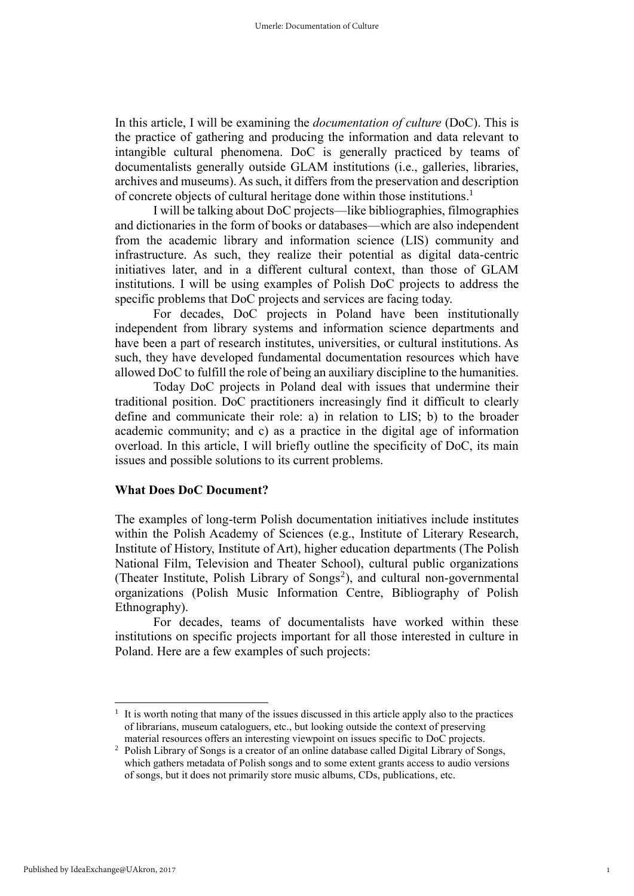In this article, I will be examining the *documentation of culture* (DoC). This is the practice of gathering and producing the information and data relevant to intangible cultural phenomena. DoC is generally practiced by teams of documentalists generally outside GLAM institutions (i.e., galleries, libraries, archives and museums). As such, it differs from the preservation and description of concrete objects of cultural heritage done within those institutions. 1

I will be talking about DoC projects—like bibliographies, filmographies and dictionaries in the form of books or databases—which are also independent from the academic library and information science (LIS) community and infrastructure. As such, they realize their potential as digital data-centric initiatives later, and in a different cultural context, than those of GLAM institutions. I will be using examples of Polish DoC projects to address the specific problems that DoC projects and services are facing today.

For decades, DoC projects in Poland have been institutionally independent from library systems and information science departments and have been a part of research institutes, universities, or cultural institutions. As such, they have developed fundamental documentation resources which have allowed DoC to fulfill the role of being an auxiliary discipline to the humanities.

Today DoC projects in Poland deal with issues that undermine their traditional position. DoC practitioners increasingly find it difficult to clearly define and communicate their role: a) in relation to LIS; b) to the broader academic community; and c) as a practice in the digital age of information overload. In this article, I will briefly outline the specificity of DoC, its main issues and possible solutions to its current problems.

#### **What Does DoC Document?**

The examples of long-term Polish documentation initiatives include institutes within the Polish Academy of Sciences (e.g., Institute of Literary Research, Institute of History, Institute of Art), higher education departments (The Polish National Film, Television and Theater School), cultural public organizations (Theater Institute, Polish Library of Songs<sup>2</sup>), and cultural non-governmental organizations (Polish Music Information Centre, Bibliography of Polish Ethnography).

For decades, teams of documentalists have worked within these institutions on specific projects important for all those interested in culture in Poland. Here are a few examples of such projects:

-

<sup>1</sup> It is worth noting that many of the issues discussed in this article apply also to the practices of librarians, museum cataloguers, etc., but looking outside the context of preserving material resources offers an interesting viewpoint on issues specific to DoC projects.

<sup>&</sup>lt;sup>2</sup> Polish Library of Songs is a creator of an online database called Digital Library of Songs, which gathers metadata of Polish songs and to some extent grants access to audio versions of songs, but it does not primarily store music albums, CDs, publications, etc.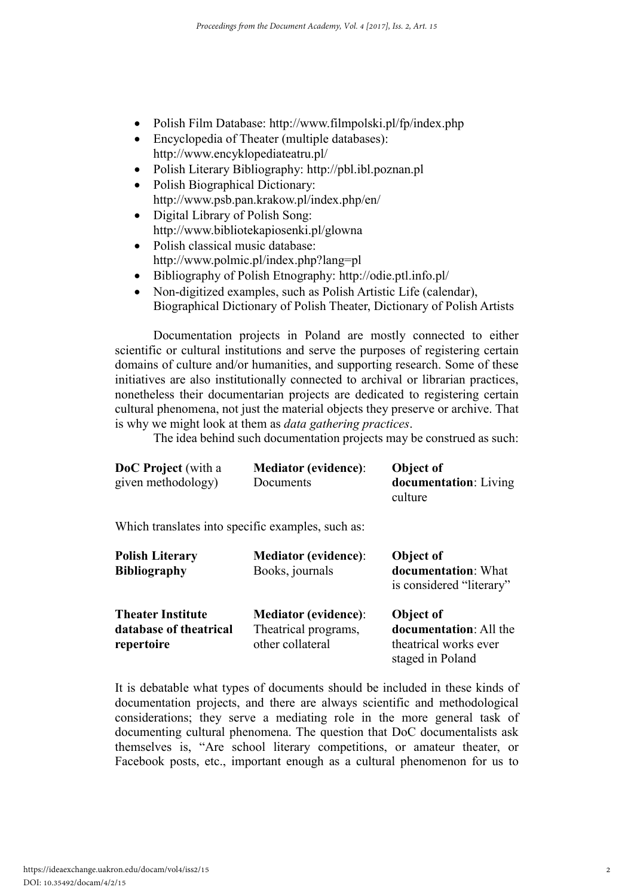- Polish Film Database:<http://www.filmpolski.pl/fp/index.php>
- Encyclopedia of Theater (multiple databases): <http://www.encyklopediateatru.pl/>
- Polish Literary Bibliography: [http://pbl.ibl.poznan.pl](http://pbl.ibl.poznan.pl/)
- Polish Biographical Dictionary: <http://www.psb.pan.krakow.pl/index.php/en/>
- Digital Library of Polish Song: <http://www.bibliotekapiosenki.pl/glowna>
- Polish classical music database: <http://www.polmic.pl/index.php?lang=pl>
- Bibliography of Polish Etnography:<http://odie.ptl.info.pl/>
- Non-digitized examples, such as Polish Artistic Life (calendar), Biographical Dictionary of Polish Theater, Dictionary of Polish Artists

Documentation projects in Poland are mostly connected to either scientific or cultural institutions and serve the purposes of registering certain domains of culture and/or humanities, and supporting research. Some of these initiatives are also institutionally connected to archival or librarian practices, nonetheless their documentarian projects are dedicated to registering certain cultural phenomena, not just the material objects they preserve or archive. That is why we might look at them as *data gathering practices*.

The idea behind such documentation projects may be construed as such:

| <b>DoC</b> Project (with a | <b>Mediator (evidence):</b> | <b>Object of</b>              |
|----------------------------|-----------------------------|-------------------------------|
| given methodology)         | Documents                   | <b>documentation</b> : Living |
|                            |                             | culture                       |

Which translates into specific examples, such as:

| <b>Polish Literary</b><br><b>Bibliography</b> | <b>Mediator (evidence):</b><br>Books, journals | Object of<br>documentation: What<br>is considered "literary"               |
|-----------------------------------------------|------------------------------------------------|----------------------------------------------------------------------------|
| <b>Theater Institute</b>                      | <b>Mediator (evidence):</b>                    | Object of                                                                  |
| database of theatrical<br>repertoire          | Theatrical programs,<br>other collateral       | <b>documentation:</b> All the<br>theatrical works ever<br>staged in Poland |

It is debatable what types of documents should be included in these kinds of documentation projects, and there are always scientific and methodological considerations; they serve a mediating role in the more general task of documenting cultural phenomena. The question that DoC documentalists ask themselves is, "Are school literary competitions, or amateur theater, or Facebook posts, etc., important enough as a cultural phenomenon for us to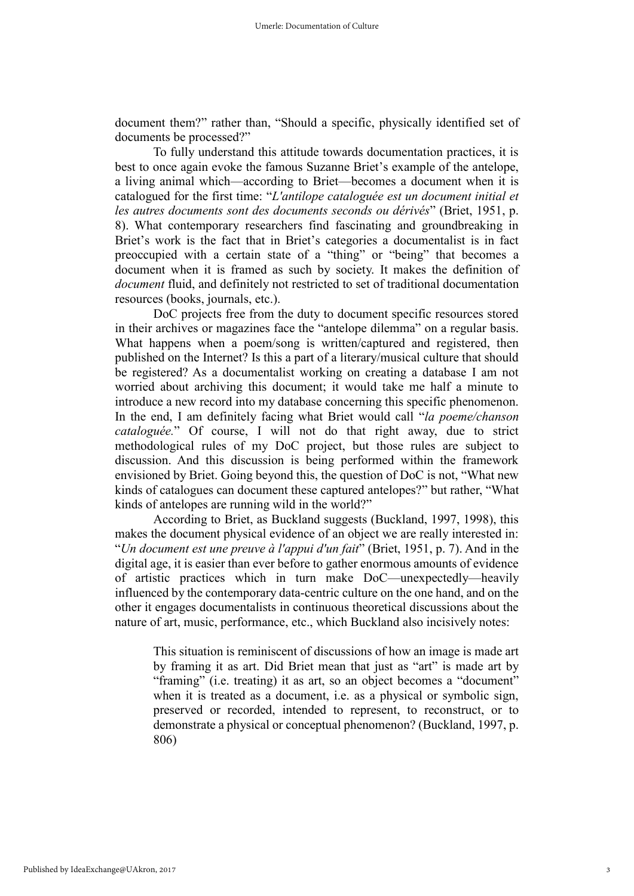document them?" rather than, "Should a specific, physically identified set of documents be processed?"

To fully understand this attitude towards documentation practices, it is best to once again evoke the famous Suzanne Briet's example of the antelope, a living animal which—according to Briet—becomes a document when it is catalogued for the first time: "*L'antilope cataloguée est un document initial et les autres documents sont des documents seconds ou dérivés*" (Briet, 1951, p. 8). What contemporary researchers find fascinating and groundbreaking in Briet's work is the fact that in Briet's categories a documentalist is in fact preoccupied with a certain state of a "thing" or "being" that becomes a document when it is framed as such by society. It makes the definition of *document* fluid, and definitely not restricted to set of traditional documentation resources (books, journals, etc.).

DoC projects free from the duty to document specific resources stored in their archives or magazines face the "antelope dilemma" on a regular basis. What happens when a poem/song is written/captured and registered, then published on the Internet? Is this a part of a literary/musical culture that should be registered? As a documentalist working on creating a database I am not worried about archiving this document; it would take me half a minute to introduce a new record into my database concerning this specific phenomenon. In the end, I am definitely facing what Briet would call "*la poeme/chanson cataloguée.*" Of course, I will not do that right away, due to strict methodological rules of my DoC project, but those rules are subject to discussion. And this discussion is being performed within the framework envisioned by Briet. Going beyond this, the question of DoC is not, "What new kinds of catalogues can document these captured antelopes?" but rather, "What kinds of antelopes are running wild in the world?"

According to Briet, as Buckland suggests (Buckland, 1997, 1998), this makes the document physical evidence of an object we are really interested in: "*Un document est une preuve à l'appui d'un fait*" (Briet, 1951, p. 7). And in the digital age, it is easier than ever before to gather enormous amounts of evidence of artistic practices which in turn make DoC—unexpectedly—heavily influenced by the contemporary data-centric culture on the one hand, and on the other it engages documentalists in continuous theoretical discussions about the nature of art, music, performance, etc., which Buckland also incisively notes:

This situation is reminiscent of discussions of how an image is made art by framing it as art. Did Briet mean that just as "art" is made art by "framing" (i.e. treating) it as art, so an object becomes a "document" when it is treated as a document, i.e. as a physical or symbolic sign, preserved or recorded, intended to represent, to reconstruct, or to demonstrate a physical or conceptual phenomenon? (Buckland, 1997, p. 806)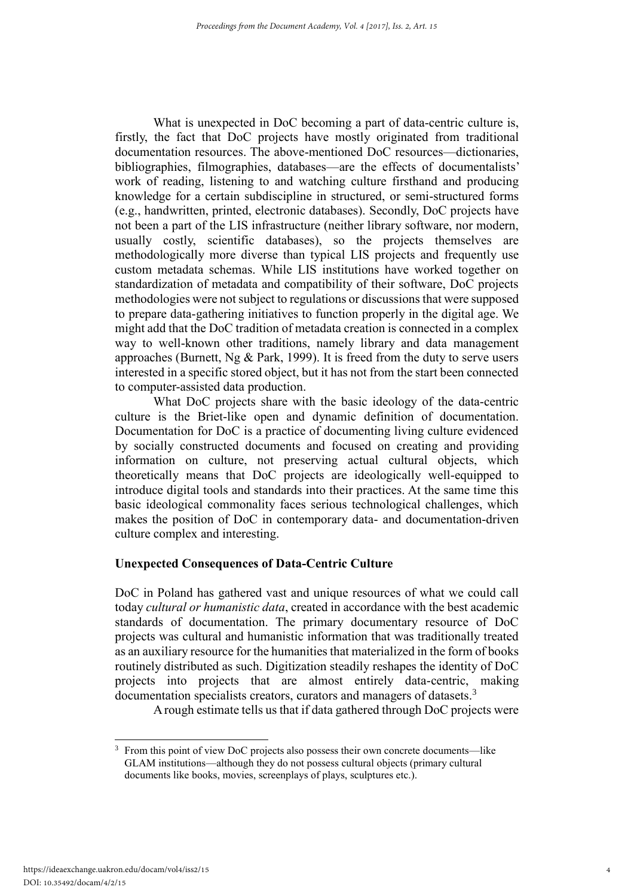What is unexpected in DoC becoming a part of data-centric culture is, firstly, the fact that DoC projects have mostly originated from traditional documentation resources. The above-mentioned DoC resources—dictionaries, bibliographies, filmographies, databases—are the effects of documentalists' work of reading, listening to and watching culture firsthand and producing knowledge for a certain subdiscipline in structured, or semi-structured forms (e.g., handwritten, printed, electronic databases). Secondly, DoC projects have not been a part of the LIS infrastructure (neither library software, nor modern, usually costly, scientific databases), so the projects themselves are methodologically more diverse than typical LIS projects and frequently use custom metadata schemas. While LIS institutions have worked together on standardization of metadata and compatibility of their software, DoC projects methodologies were not subject to regulations or discussions that were supposed to prepare data-gathering initiatives to function properly in the digital age. We might add that the DoC tradition of metadata creation is connected in a complex way to well-known other traditions, namely library and data management approaches (Burnett, Ng & Park, 1999). It is freed from the duty to serve users interested in a specific stored object, but it has not from the start been connected to computer-assisted data production.

What DoC projects share with the basic ideology of the data-centric culture is the Briet-like open and dynamic definition of documentation. Documentation for DoC is a practice of documenting living culture evidenced by socially constructed documents and focused on creating and providing information on culture, not preserving actual cultural objects, which theoretically means that DoC projects are ideologically well-equipped to introduce digital tools and standards into their practices. At the same time this basic ideological commonality faces serious technological challenges, which makes the position of DoC in contemporary data- and documentation-driven culture complex and interesting.

# **Unexpected Consequences of Data-Centric Culture**

DoC in Poland has gathered vast and unique resources of what we could call today *cultural or humanistic data*, created in accordance with the best academic standards of documentation. The primary documentary resource of DoC projects was cultural and humanistic information that was traditionally treated as an auxiliary resource for the humanities that materialized in the form of books routinely distributed as such. Digitization steadily reshapes the identity of DoC projects into projects that are almost entirely data-centric, making documentation specialists creators, curators and managers of datasets.<sup>3</sup>

A rough estimate tells us that if data gathered through DoC projects were

-

<sup>3</sup> From this point of view DoC projects also possess their own concrete documents—like GLAM institutions—although they do not possess cultural objects (primary cultural documents like books, movies, screenplays of plays, sculptures etc.).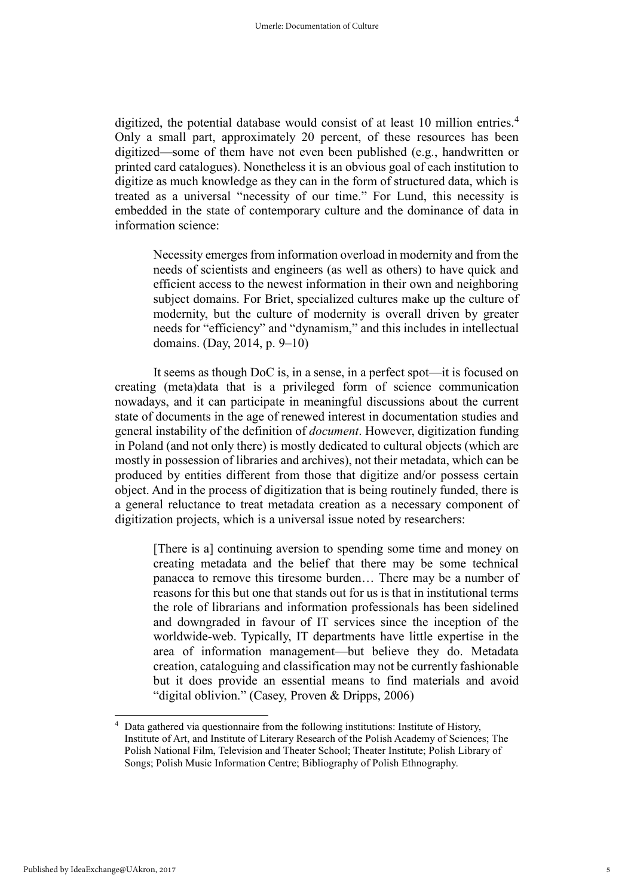digitized, the potential database would consist of at least 10 million entries.<sup>4</sup> Only a small part, approximately 20 percent, of these resources has been digitized—some of them have not even been published (e.g., handwritten or printed card catalogues). Nonetheless it is an obvious goal of each institution to digitize as much knowledge as they can in the form of structured data, which is treated as a universal "necessity of our time." For Lund, this necessity is embedded in the state of contemporary culture and the dominance of data in information science:

Necessity emerges from information overload in modernity and from the needs of scientists and engineers (as well as others) to have quick and efficient access to the newest information in their own and neighboring subject domains. For Briet, specialized cultures make up the culture of modernity, but the culture of modernity is overall driven by greater needs for "efficiency" and "dynamism," and this includes in intellectual domains. (Day, 2014, p. 9–10)

It seems as though DoC is, in a sense, in a perfect spot—it is focused on creating (meta)data that is a privileged form of science communication nowadays, and it can participate in meaningful discussions about the current state of documents in the age of renewed interest in documentation studies and general instability of the definition of *document*. However, digitization funding in Poland (and not only there) is mostly dedicated to cultural objects (which are mostly in possession of libraries and archives), not their metadata, which can be produced by entities different from those that digitize and/or possess certain object. And in the process of digitization that is being routinely funded, there is a general reluctance to treat metadata creation as a necessary component of digitization projects, which is a universal issue noted by researchers:

[There is a] continuing aversion to spending some time and money on creating metadata and the belief that there may be some technical panacea to remove this tiresome burden… There may be a number of reasons for this but one that stands out for us is that in institutional terms the role of librarians and information professionals has been sidelined and downgraded in favour of IT services since the inception of the worldwide-web. Typically, IT departments have little expertise in the area of information management—but believe they do. Metadata creation, cataloguing and classification may not be currently fashionable but it does provide an essential means to find materials and avoid "digital oblivion." (Casey, Proven & Dripps, 2006)

-

Data gathered via questionnaire from the following institutions: Institute of History, Institute of Art, and Institute of Literary Research of the Polish Academy of Sciences; The Polish National Film, Television and Theater School; Theater Institute; Polish Library of Songs; Polish Music Information Centre; Bibliography of Polish Ethnography.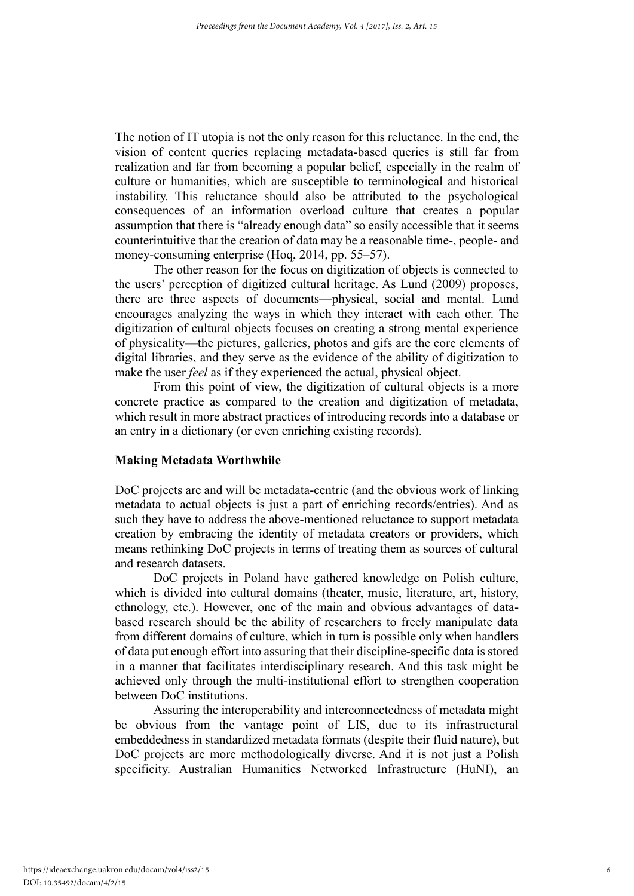The notion of IT utopia is not the only reason for this reluctance. In the end, the vision of content queries replacing metadata-based queries is still far from realization and far from becoming a popular belief, especially in the realm of culture or humanities, which are susceptible to terminological and historical instability. This reluctance should also be attributed to the psychological consequences of an information overload culture that creates a popular assumption that there is "already enough data" so easily accessible that it seems counterintuitive that the creation of data may be a reasonable time-, people- and money-consuming enterprise (Hoq, 2014, pp. 55–57).

The other reason for the focus on digitization of objects is connected to the users' perception of digitized cultural heritage. As Lund (2009) proposes, there are three aspects of documents—physical, social and mental. Lund encourages analyzing the ways in which they interact with each other. The digitization of cultural objects focuses on creating a strong mental experience of physicality—the pictures, galleries, photos and gifs are the core elements of digital libraries, and they serve as the evidence of the ability of digitization to make the user *feel* as if they experienced the actual, physical object.

From this point of view, the digitization of cultural objects is a more concrete practice as compared to the creation and digitization of metadata, which result in more abstract practices of introducing records into a database or an entry in a dictionary (or even enriching existing records).

# **Making Metadata Worthwhile**

DoC projects are and will be metadata-centric (and the obvious work of linking metadata to actual objects is just a part of enriching records/entries). And as such they have to address the above-mentioned reluctance to support metadata creation by embracing the identity of metadata creators or providers, which means rethinking DoC projects in terms of treating them as sources of cultural and research datasets.

DoC projects in Poland have gathered knowledge on Polish culture, which is divided into cultural domains (theater, music, literature, art, history, ethnology, etc.). However, one of the main and obvious advantages of databased research should be the ability of researchers to freely manipulate data from different domains of culture, which in turn is possible only when handlers of data put enough effort into assuring that their discipline-specific data is stored in a manner that facilitates interdisciplinary research. And this task might be achieved only through the multi-institutional effort to strengthen cooperation between DoC institutions.

Assuring the interoperability and interconnectedness of metadata might be obvious from the vantage point of LIS, due to its infrastructural embeddedness in standardized metadata formats (despite their fluid nature), but DoC projects are more methodologically diverse. And it is not just a Polish specificity. Australian Humanities Networked Infrastructure (HuNI), an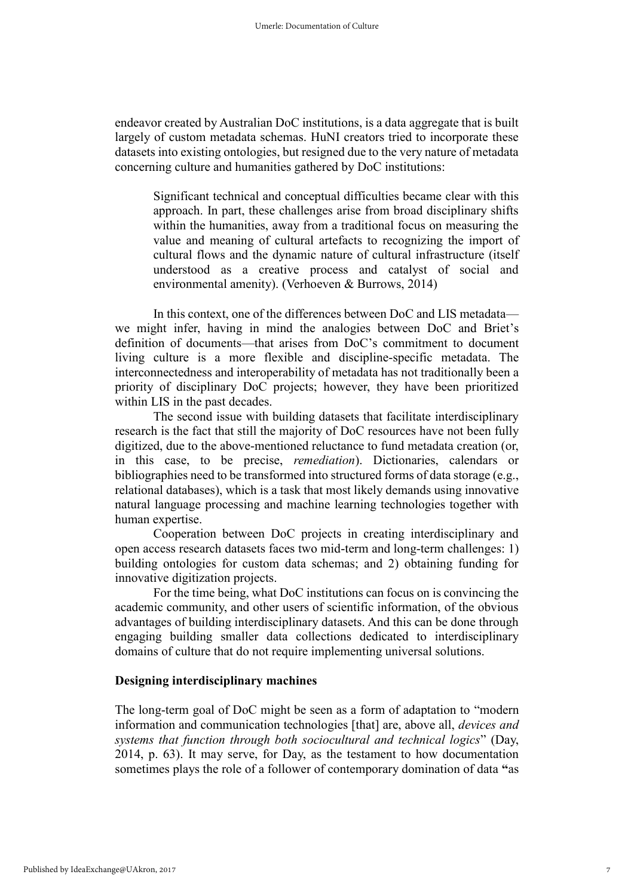endeavor created by Australian DoC institutions, is a data aggregate that is built largely of custom metadata schemas. HuNI creators tried to incorporate these datasets into existing ontologies, but resigned due to the very nature of metadata concerning culture and humanities gathered by DoC institutions:

Significant technical and conceptual difficulties became clear with this approach. In part, these challenges arise from broad disciplinary shifts within the humanities, away from a traditional focus on measuring the value and meaning of cultural artefacts to recognizing the import of cultural flows and the dynamic nature of cultural infrastructure (itself understood as a creative process and catalyst of social and environmental amenity). (Verhoeven & Burrows, 2014)

In this context, one of the differences between DoC and LIS metadata we might infer, having in mind the analogies between DoC and Briet's definition of documents—that arises from DoC's commitment to document living culture is a more flexible and discipline-specific metadata. The interconnectedness and interoperability of metadata has not traditionally been a priority of disciplinary DoC projects; however, they have been prioritized within LIS in the past decades.

The second issue with building datasets that facilitate interdisciplinary research is the fact that still the majority of DoC resources have not been fully digitized, due to the above-mentioned reluctance to fund metadata creation (or, in this case, to be precise, *remediation*). Dictionaries, calendars or bibliographies need to be transformed into structured forms of data storage (e.g., relational databases), which is a task that most likely demands using innovative natural language processing and machine learning technologies together with human expertise.

Cooperation between DoC projects in creating interdisciplinary and open access research datasets faces two mid-term and long-term challenges: 1) building ontologies for custom data schemas; and 2) obtaining funding for innovative digitization projects.

For the time being, what DoC institutions can focus on is convincing the academic community, and other users of scientific information, of the obvious advantages of building interdisciplinary datasets. And this can be done through engaging building smaller data collections dedicated to interdisciplinary domains of culture that do not require implementing universal solutions.

#### **Designing interdisciplinary machines**

The long-term goal of DoC might be seen as a form of adaptation to "modern information and communication technologies [that] are, above all, *devices and systems that function through both sociocultural and technical logics*" (Day, 2014, p. 63). It may serve, for Day, as the testament to how documentation sometimes plays the role of a follower of contemporary domination of data **"**as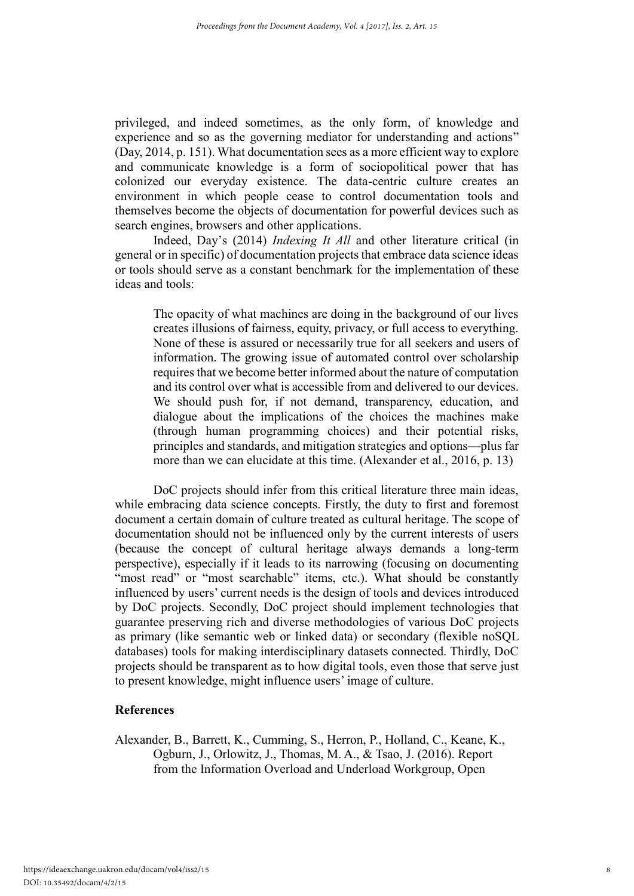privileged, and indeed sometimes, as the only form, of knowledge and experience and so as the governing mediator for understanding and actions" (Day, 2014, p. 151). What documentation sees as a more efficient way to explore and communicate knowledge is a form of sociopolitical power that has colonized our everyday existence. The data-centric culture creates an environment in which people cease to control documentation tools and themselves become the objects of documentation for powerful devices such as search engines, browsers and other applications.

Indeed, Day's (2014) *Indexing It All* and other literature critical (in general or in specific) of documentation projects that embrace data science ideas or tools should serve as a constant benchmark for the implementation of these ideas and tools:

The opacity of what machines are doing in the background of our lives creates illusions of fairness, equity, privacy, or full access to everything. None of these is assured or necessarily true for all seekers and users of information. The growing issue of automated control over scholarship requires that we become better informed about the nature of computation and its control over what is accessible from and delivered to our devices. We should push for, if not demand, transparency, education, and dialogue about the implications of the choices the machines make (through human programming choices) and their potential risks, principles and standards, and mitigation strategies and options—plus far more than we can elucidate at this time. (Alexander et al., 2016, p. 13)

DoC projects should infer from this critical literature three main ideas, while embracing data science concepts. Firstly, the duty to first and foremost document a certain domain of culture treated as cultural heritage. The scope of documentation should not be influenced only by the current interests of users (because the concept of cultural heritage always demands a long-term perspective), especially if it leads to its narrowing (focusing on documenting "most read" or "most searchable" items, etc.). What should be constantly influenced by users' current needs is the design of tools and devices introduced by DoC projects. Secondly, DoC project should implement technologies that guarantee preserving rich and diverse methodologies of various DoC projects as primary (like semantic web or linked data) or secondary (flexible noSQL databases) tools for making interdisciplinary datasets connected. Thirdly, DoC projects should be transparent as to how digital tools, even those that serve just to present knowledge, might influence users' image of culture.

# **References**

Alexander, B., Barrett, K., Cumming, S., Herron, P., Holland, C., Keane, K., Ogburn, J., Orlowitz, J., Thomas, M. A., & Tsao, J. (2016). Report from the Information Overload and Underload Workgroup, Open